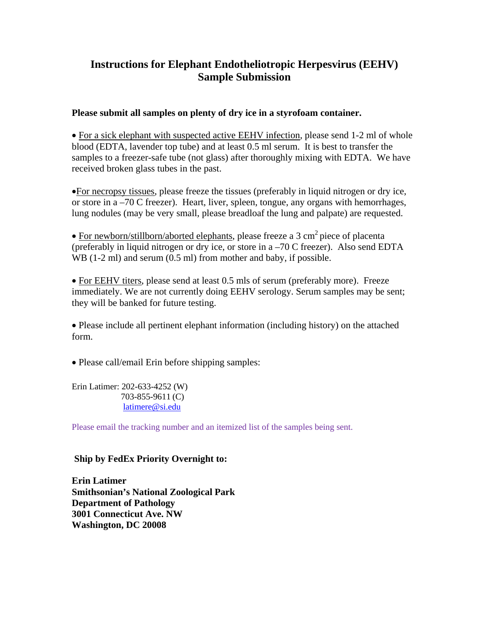### **Instructions for Elephant Endotheliotropic Herpesvirus (EEHV) Sample Submission**

### **Please submit all samples on plenty of dry ice in a styrofoam container.**

• For a sick elephant with suspected active EEHV infection, please send 1-2 ml of whole blood (EDTA, lavender top tube) and at least 0.5 ml serum. It is best to transfer the samples to a freezer-safe tube (not glass) after thoroughly mixing with EDTA. We have received broken glass tubes in the past.

•For necropsy tissues, please freeze the tissues (preferably in liquid nitrogen or dry ice, or store in a –70 C freezer). Heart, liver, spleen, tongue, any organs with hemorrhages, lung nodules (may be very small, please breadloaf the lung and palpate) are requested.

• For newborn/stillborn/aborted elephants, please freeze a 3 cm<sup>2</sup> piece of placenta (preferably in liquid nitrogen or dry ice, or store in a –70 C freezer). Also send EDTA WB (1-2 ml) and serum (0.5 ml) from mother and baby, if possible.

• For EEHV titers, please send at least 0.5 mls of serum (preferably more). Freeze immediately. We are not currently doing EEHV serology. Serum samples may be sent; they will be banked for future testing.

• Please include all pertinent elephant information (including history) on the attached form.

• Please call/email Erin before shipping samples:

Erin Latimer: 202-633-4252 (W) 703-855-9611 (C) [latimere@si.edu](mailto:latimere@si.edu)

Please email the tracking number and an itemized list of the samples being sent.

**Ship by FedEx Priority Overnight to:**

**Erin Latimer Smithsonian's National Zoological Park Department of Pathology 3001 Connecticut Ave. NW Washington, DC 20008**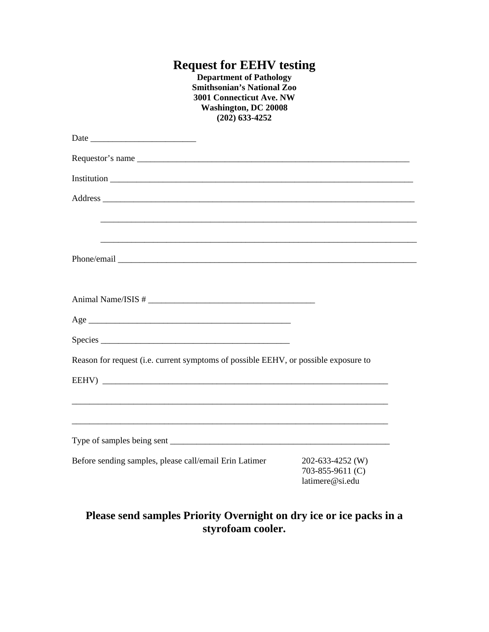# **Request for EEHV testing**

**Department of Pathology Smithsonian's National Zoo 3001 Connecticut Ave. NW Washington, DC 20008 (202) 633-4252**

| Address                                                                                                               |                                                         |
|-----------------------------------------------------------------------------------------------------------------------|---------------------------------------------------------|
| <u> 1989 - Johann Harry Harry Harry Harry Harry Harry Harry Harry Harry Harry Harry Harry Harry Harry Harry Harry</u> |                                                         |
|                                                                                                                       |                                                         |
|                                                                                                                       |                                                         |
|                                                                                                                       |                                                         |
|                                                                                                                       |                                                         |
| Reason for request (i.e. current symptoms of possible EEHV, or possible exposure to                                   |                                                         |
| EEHV)                                                                                                                 |                                                         |
| ,我们就会在这里的人,我们就会在这里的人,我们就会在这里的人,我们就会在这里的人,我们就会在这里的人,我们就会在这里的人,我们就会在这里的人,我们就会在这里的人                                      |                                                         |
|                                                                                                                       |                                                         |
| Before sending samples, please call/email Erin Latimer                                                                | 202-633-4252 (W)<br>703-855-9611 (C)<br>latimere@si.edu |

## **Please send samples Priority Overnight on dry ice or ice packs in a styrofoam cooler.**